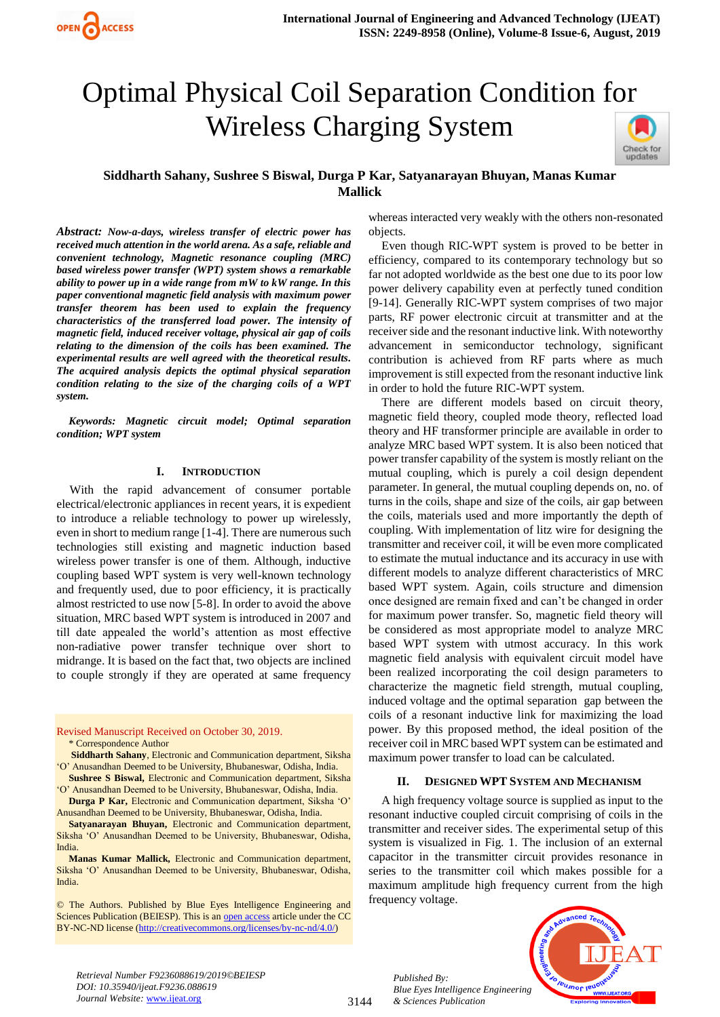# Optimal Physical Coil Separation Condition for Wireless Charging System



## **Siddharth Sahany, Sushree S Biswal, Durga P Kar, Satyanarayan Bhuyan, Manas Kumar Mallick**

*Abstract: Now-a-days, wireless transfer of electric power has received much attention in the world arena. As a safe, reliable and convenient technology, Magnetic resonance coupling (MRC) based wireless power transfer (WPT) system shows a remarkable ability to power up in a wide range from mW to kW range. In this paper conventional magnetic field analysis with maximum power transfer theorem has been used to explain the frequency characteristics of the transferred load power. The intensity of magnetic field, induced receiver voltage, physical air gap of coils relating to the dimension of the coils has been examined. The experimental results are well agreed with the theoretical results. The acquired analysis depicts the optimal physical separation condition relating to the size of the charging coils of a WPT system.* 

*Keywords: Magnetic circuit model; Optimal separation condition; WPT system*

#### **I. INTRODUCTION**

With the rapid advancement of consumer portable electrical/electronic appliances in recent years, it is expedient to introduce a reliable technology to power up wirelessly, even in short to medium range [1-4]. There are numerous such technologies still existing and magnetic induction based wireless power transfer is one of them. Although, inductive coupling based WPT system is very well-known technology and frequently used, due to poor efficiency, it is practically almost restricted to use now [5-8]. In order to avoid the above situation, MRC based WPT system is introduced in 2007 and till date appealed the world's attention as most effective non-radiative power transfer technique over short to midrange. It is based on the fact that, two objects are inclined to couple strongly if they are operated at same frequency

Revised Manuscript Received on October 30, 2019.

\* Correspondence Author

- **Siddharth Sahany**, Electronic and Communication department, Siksha 'O' Anusandhan Deemed to be University, Bhubaneswar, Odisha, India. **Sushree S Biswal,** Electronic and Communication department, Siksha
- 'O' Anusandhan Deemed to be University, Bhubaneswar, Odisha, India. **Durga P Kar,** Electronic and Communication department, Siksha 'O'
- Anusandhan Deemed to be University, Bhubaneswar, Odisha, India.
- **Satyanarayan Bhuyan,** Electronic and Communication department, Siksha 'O' Anusandhan Deemed to be University, Bhubaneswar, Odisha, India.

**Manas Kumar Mallick,** Electronic and Communication department, Siksha 'O' Anusandhan Deemed to be University, Bhubaneswar, Odisha, India.

© The Authors. Published by Blue Eyes Intelligence Engineering and Sciences Publication (BEIESP). This is an [open access](https://www.openaccess.nl/en/open-publications) article under the CC BY-NC-ND license [\(http://creativecommons.org/licenses/by-nc-nd/4.0/\)](http://creativecommons.org/licenses/by-nc-nd/4.0/)

whereas interacted very weakly with the others non-resonated objects.

Even though RIC-WPT system is proved to be better in efficiency, compared to its contemporary technology but so far not adopted worldwide as the best one due to its poor low power delivery capability even at perfectly tuned condition [9-14]. Generally RIC-WPT system comprises of two major parts, RF power electronic circuit at transmitter and at the receiver side and the resonant inductive link. With noteworthy advancement in semiconductor technology, significant contribution is achieved from RF parts where as much improvement is still expected from the resonant inductive link in order to hold the future RIC-WPT system.

There are different models based on circuit theory, magnetic field theory, coupled mode theory, reflected load theory and HF transformer principle are available in order to analyze MRC based WPT system. It is also been noticed that power transfer capability of the system is mostly reliant on the mutual coupling, which is purely a coil design dependent parameter. In general, the mutual coupling depends on, no. of turns in the coils, shape and size of the coils, air gap between the coils, materials used and more importantly the depth of coupling. With implementation of litz wire for designing the transmitter and receiver coil, it will be even more complicated to estimate the mutual inductance and its accuracy in use with different models to analyze different characteristics of MRC based WPT system. Again, coils structure and dimension once designed are remain fixed and can't be changed in order for maximum power transfer. So, magnetic field theory will be considered as most appropriate model to analyze MRC based WPT system with utmost accuracy. In this work magnetic field analysis with equivalent circuit model have been realized incorporating the coil design parameters to characterize the magnetic field strength, mutual coupling, induced voltage and the optimal separation gap between the coils of a resonant inductive link for maximizing the load power. By this proposed method, the ideal position of the receiver coil in MRC based WPT system can be estimated and maximum power transfer to load can be calculated.

### **II. DESIGNED WPT SYSTEM AND MECHANISM**

A high frequency voltage source is supplied as input to the resonant inductive coupled circuit comprising of coils in the transmitter and receiver sides. The experimental setup of this system is visualized in Fig. 1. The inclusion of an external capacitor in the transmitter circuit provides resonance in series to the transmitter coil which makes possible for a maximum amplitude high frequency current from the high frequency voltage.



*Retrieval Number F9236088619/2019©BEIESP DOI: 10.35940/ijeat.F9236.088619 Journal Website:* www.ijeat.org

3144

*Published By: Blue Eyes Intelligence Engineering & Sciences Publication*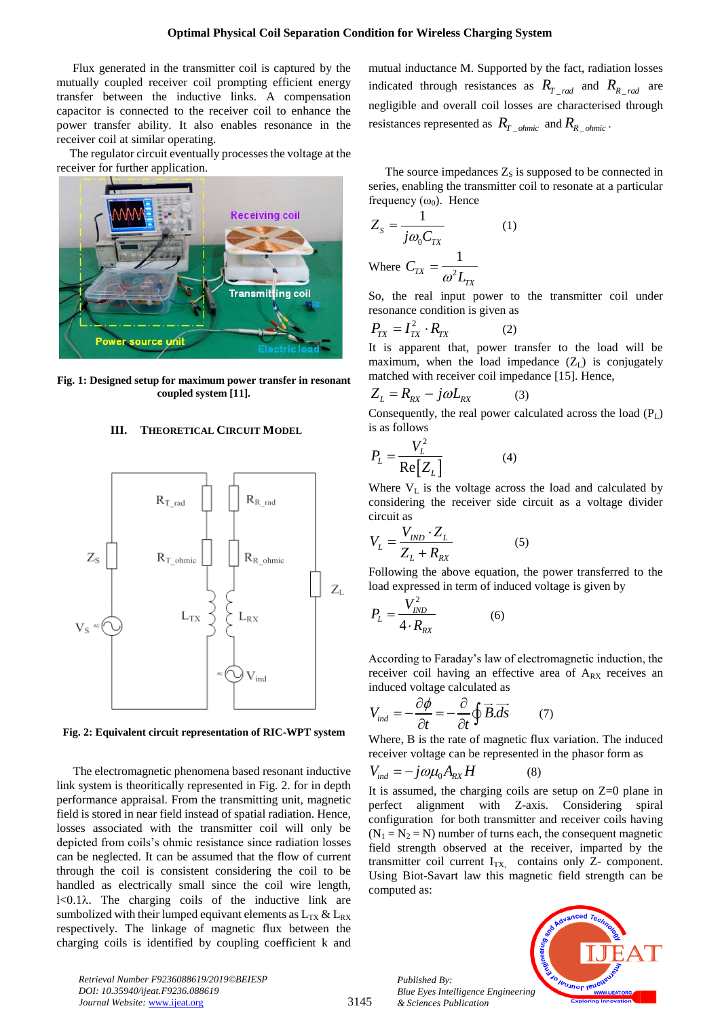Flux generated in the transmitter coil is captured by the mutually coupled receiver coil prompting efficient energy transfer between the inductive links. A compensation capacitor is connected to the receiver coil to enhance the power transfer ability. It also enables resonance in the receiver coil at similar operating.

The regulator circuit eventually processes the voltage at the receiver for further application.



**Fig. 1: Designed setup for maximum power transfer in resonant coupled system [11].**

## **III. THEORETICAL CIRCUIT MODEL**



**Fig. 2: Equivalent circuit representation of RIC-WPT system**

The electromagnetic phenomena based resonant inductive link system is theoritically represented in Fig. 2. for in depth performance appraisal. From the transmitting unit, magnetic field is stored in near field instead of spatial radiation. Hence, losses associated with the transmitter coil will only be depicted from coils's ohmic resistance since radiation losses can be neglected. It can be assumed that the flow of current through the coil is consistent considering the coil to be handled as electrically small since the coil wire length,  $1 < 0.1\lambda$ . The charging coils of the inductive link are sumbolized with their lumped equivant elements as  $L_{TX} \& L_{RX}$ respectively. The linkage of magnetic flux between the charging coils is identified by coupling coefficient k and mutual inductance M. Supported by the fact, radiation losses indicated through resistances as  $R_{T_{rad}}$  and  $R_{R_{rad}}$  are negligible and overall coil losses are characterised through resistances represented as  $R_{T\_ohmic}$  and  $R_{R\_ohmic}$ .

The source impedances  $Z_s$  is supposed to be connected in series, enabling the transmitter coil to resonate at a particular frequency  $(\omega_0)$ . Hence

$$
Z_{s} = \frac{1}{j\omega_{0}C_{TX}}
$$
 (1)  
Where  $C = \frac{1}{}$ 

Where  $C_{TX}$ 2  $\omega^2 L_{TX}$  $=$ 

So, the real input power to the transmitter coil under resonance condition is given as

$$
P_{TX} = I_{TX}^2 \cdot R_{TX} \tag{2}
$$

It is apparent that, power transfer to the load will be maximum, when the load impedance  $(Z_L)$  is conjugately matched with receiver coil impedance [15]. Hence,

$$
Z_L = R_{RX} - j\omega L_{RX} \tag{3}
$$

Consequently, the real power calculated across the load  $(P_L)$ is as follows

$$
P_L = \frac{V_L^2}{\text{Re}[Z_L]}
$$
 (4)

Where  $V<sub>L</sub>$  is the voltage across the load and calculated by considering the receiver side circuit as a voltage divider circuit as

$$
V_L = \frac{V_{IND} \cdot Z_L}{Z_L + R_{RX}} \tag{5}
$$

Following the above equation, the power transferred to the load expressed in term of induced voltage is given by

$$
P_L = \frac{V_{IND}^2}{4 \cdot R_{RX}} \tag{6}
$$

According to Faraday's law of electromagnetic induction, the receiver coil having an effective area of  $A_{RX}$  receives an

induced voltage calculated as  
\n
$$
V_{ind} = -\frac{\partial \phi}{\partial t} = -\frac{\partial}{\partial t} \oint \vec{B} \cdot d\vec{s}
$$
\n(7)

Where, B is the rate of magnetic flux variation. The induced receiver voltage can be represented in the phasor form as

$$
V_{ind} = -j\omega\mu_0 A_{RX}H
$$
 (8)

It is assumed, the charging coils are setup on Z=0 plane in perfect alignment with Z-axis. Considering spiral configuration for both transmitter and receiver coils having  $(N_1 = N_2 = N)$  number of turns each, the consequent magnetic field strength observed at the receiver, imparted by the transmitter coil current  $I_{TX}$  contains only Z- component. Using Biot-Savart law this magnetic field strength can be computed as:

*Published By: Blue Eyes Intelligence Engineering & Sciences Publication* 



*Retrieval Number F9236088619/2019©BEIESP DOI: 10.35940/ijeat.F9236.088619 Journal Website:* www.ijeat.org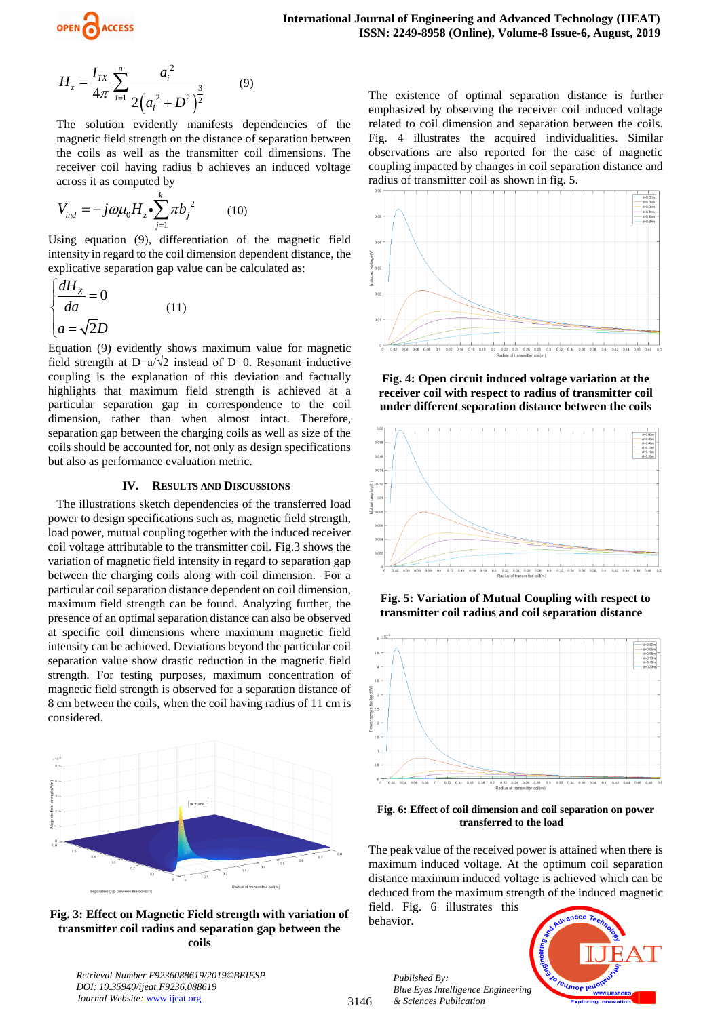

$$
H_z = \frac{I_{TX}}{4\pi} \sum_{i=1}^n \frac{a_i^2}{2\left(a_i^2 + D^2\right)^{\frac{3}{2}}} \tag{9}
$$

The solution evidently manifests dependencies of the magnetic field strength on the distance of separation between the coils as well as the transmitter coil dimensions. The receiver coil having radius b achieves an induced voltage across it as computed by

$$
V_{ind} = -j\omega\mu_0 H_z \cdot \sum_{j=1}^k \pi b_j^2 \tag{10}
$$

Using equation (9), differentiation of the magnetic field intensity in regard to the coil dimension dependent distance, the explicative separation gap value can be calculated as:

$$
\begin{cases}\n\frac{dH_z}{da} = 0\\ \na = \sqrt{2}D\n\end{cases}
$$
\n(11)

Equation (9) evidently shows maximum value for magnetic field strength at D=a/ $\sqrt{2}$  instead of D=0. Resonant inductive coupling is the explanation of this deviation and factually highlights that maximum field strength is achieved at a particular separation gap in correspondence to the coil dimension, rather than when almost intact. Therefore, separation gap between the charging coils as well as size of the coils should be accounted for, not only as design specifications but also as performance evaluation metric.

#### **IV. RESULTS AND DISCUSSIONS**

 $2(a_i^2 + D^2)^2$ <br>
solution evidently ma<br>
netic field strength on the<br>
coils as well as the transferred strength on the<br>
coils as well as the transferred in the results is<br>
set it as computed by<br>  $= -j\omega\mu_0 H_z \cdot \sum_{j=1}^k \pi b_j^2$ The illustrations sketch dependencies of the transferred load power to design specifications such as, magnetic field strength, load power, mutual coupling together with the induced receiver coil voltage attributable to the transmitter coil. Fig.3 shows the variation of magnetic field intensity in regard to separation gap between the charging coils along with coil dimension. For a particular coil separation distance dependent on coil dimension, maximum field strength can be found. Analyzing further, the presence of an optimal separation distance can also be observed at specific coil dimensions where maximum magnetic field intensity can be achieved. Deviations beyond the particular coil separation value show drastic reduction in the magnetic field strength. For testing purposes, maximum concentration of magnetic field strength is observed for a separation distance of 8 cm between the coils, when the coil having radius of 11 cm is considered.



**Fig. 3: Effect on Magnetic Field strength with variation of transmitter coil radius and separation gap between the coils**

*Retrieval Number F9236088619/2019©BEIESP DOI: 10.35940/ijeat.F9236.088619* Journal Website: www.ijeat.org

The existence of optimal separation distance is further emphasized by observing the receiver coil induced voltage related to coil dimension and separation between the coils. Fig. 4 illustrates the acquired individualities. Similar observations are also reported for the case of magnetic coupling impacted by changes in coil separation distance and radius of transmitter coil as shown in fig. 5.



**Fig. 4: Open circuit induced voltage variation at the receiver coil with respect to radius of transmitter coil under different separation distance between the coils**



**Fig. 5: Variation of Mutual Coupling with respect to transmitter coil radius and coil separation distance**



**Fig. 6: Effect of coil dimension and coil separation on power transferred to the load**

The peak value of the received power is attained when there is maximum induced voltage. At the optimum coil separation distance maximum induced voltage is achieved which can be deduced from the maximum strength of the induced magnetic field. Fig. 6 illustrates this

behavior.

3146



*Published By: Blue Eyes Intelligence Engineering & Sciences Publication*